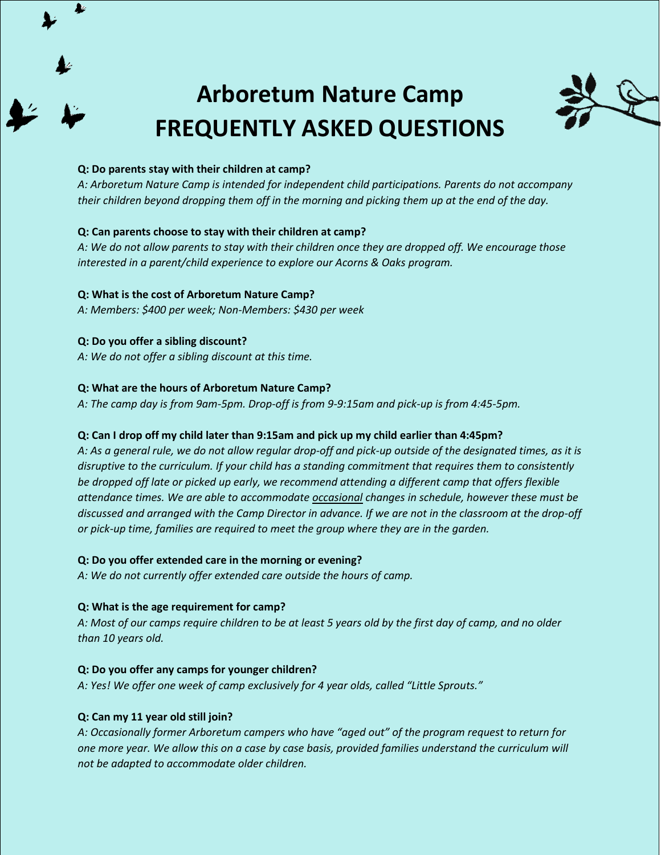

# **Arboretum Nature Camp FREQUENTLY ASKED QUESTIONS**



## **Q: Do parents stay with their children at camp?**

*A: Arboretum Nature Camp is intended for independent child participations. Parents do not accompany their children beyond dropping them off in the morning and picking them up at the end of the day.* 

## **Q: Can parents choose to stay with their children at camp?**

*A: We do not allow parents to stay with their children once they are dropped off. We encourage those interested in a parent/child experience to explore our Acorns & Oaks program.* 

## **Q: What is the cost of Arboretum Nature Camp?**

*A: Members: \$400 per week; Non-Members: \$430 per week*

## **Q: Do you offer a sibling discount?**

*A: We do not offer a sibling discount at this time.*

## **Q: What are the hours of Arboretum Nature Camp?**

*A: The camp day is from 9am-5pm. Drop-off is from 9-9:15am and pick-up is from 4:45-5pm.*

# **Q: Can I drop off my child later than 9:15am and pick up my child earlier than 4:45pm?**

*A: As a general rule, we do not allow regular drop-off and pick-up outside of the designated times, as it is disruptive to the curriculum. If your child has a standing commitment that requires them to consistently be dropped off late or picked up early, we recommend attending a different camp that offers flexible attendance times. We are able to accommodate occasional changes in schedule, however these must be discussed and arranged with the Camp Director in advance. If we are not in the classroom at the drop-off or pick-up time, families are required to meet the group where they are in the garden.* 

#### **Q: Do you offer extended care in the morning or evening?**

*A: We do not currently offer extended care outside the hours of camp.* 

# **Q: What is the age requirement for camp?**

*A: Most of our camps require children to be at least 5 years old by the first day of camp, and no older than 10 years old.* 

# **Q: Do you offer any camps for younger children?**

*A: Yes! We offer one week of camp exclusively for 4 year olds, called "Little Sprouts."* 

# **Q: Can my 11 year old still join?**

*A: Occasionally former Arboretum campers who have "aged out" of the program request to return for one more year. We allow this on a case by case basis, provided families understand the curriculum will not be adapted to accommodate older children.*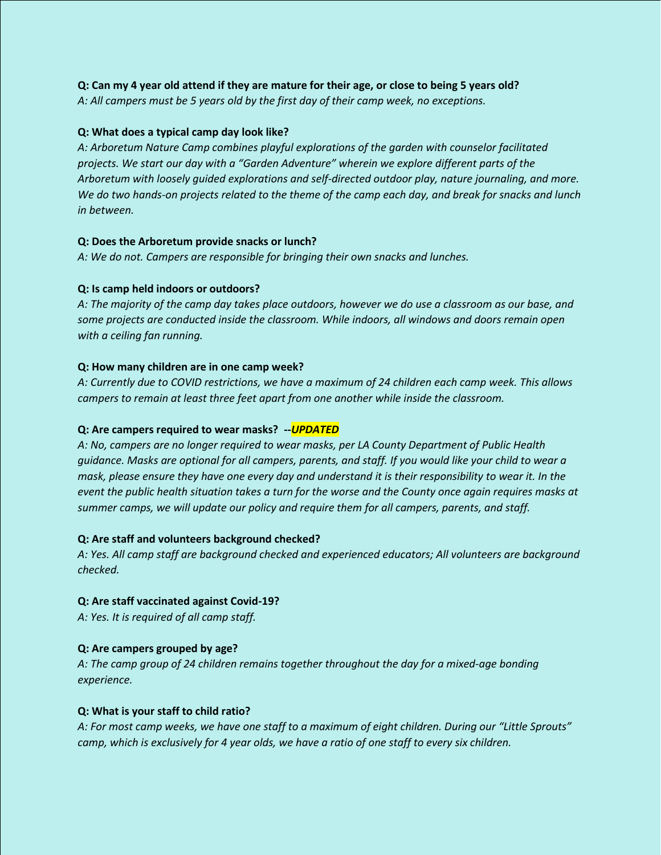## **Q: Can my 4 year old attend if they are mature for their age, or close to being 5 years old?**

*A: All campers must be 5 years old by the first day of their camp week, no exceptions.*

## **Q: What does a typical camp day look like?**

*A: Arboretum Nature Camp combines playful explorations of the garden with counselor facilitated projects. We start our day with a "Garden Adventure" wherein we explore different parts of the Arboretum with loosely guided explorations and self-directed outdoor play, nature journaling, and more. We do two hands-on projects related to the theme of the camp each day, and break for snacks and lunch in between.* 

## **Q: Does the Arboretum provide snacks or lunch?**

*A: We do not. Campers are responsible for bringing their own snacks and lunches.* 

## **Q: Is camp held indoors or outdoors?**

*A: The majority of the camp day takes place outdoors, however we do use a classroom as our base, and some projects are conducted inside the classroom. While indoors, all windows and doors remain open with a ceiling fan running.* 

## **Q: How many children are in one camp week?**

*A: Currently due to COVID restrictions, we have a maximum of 24 children each camp week. This allows campers to remain at least three feet apart from one another while inside the classroom.* 

#### **Q: Are campers required to wear masks? --***UPDATED*

*A: No, campers are no longer required to wear masks, per LA County Department of Public Health guidance. Masks are optional for all campers, parents, and staff. If you would like your child to wear a mask, please ensure they have one every day and understand it is their responsibility to wear it. In the event the public health situation takes a turn for the worse and the County once again requires masks at summer camps, we will update our policy and require them for all campers, parents, and staff.* 

#### **Q: Are staff and volunteers background checked?**

*A: Yes. All camp staff are background checked and experienced educators; All volunteers are background checked.* 

# **Q: Are staff vaccinated against Covid-19?**

*A: Yes. It is required of all camp staff.*

# **Q: Are campers grouped by age?**

*A: The camp group of 24 children remains together throughout the day for a mixed-age bonding experience.* 

# **Q: What is your staff to child ratio?**

*A: For most camp weeks, we have one staff to a maximum of eight children. During our "Little Sprouts" camp, which is exclusively for 4 year olds, we have a ratio of one staff to every six children.*